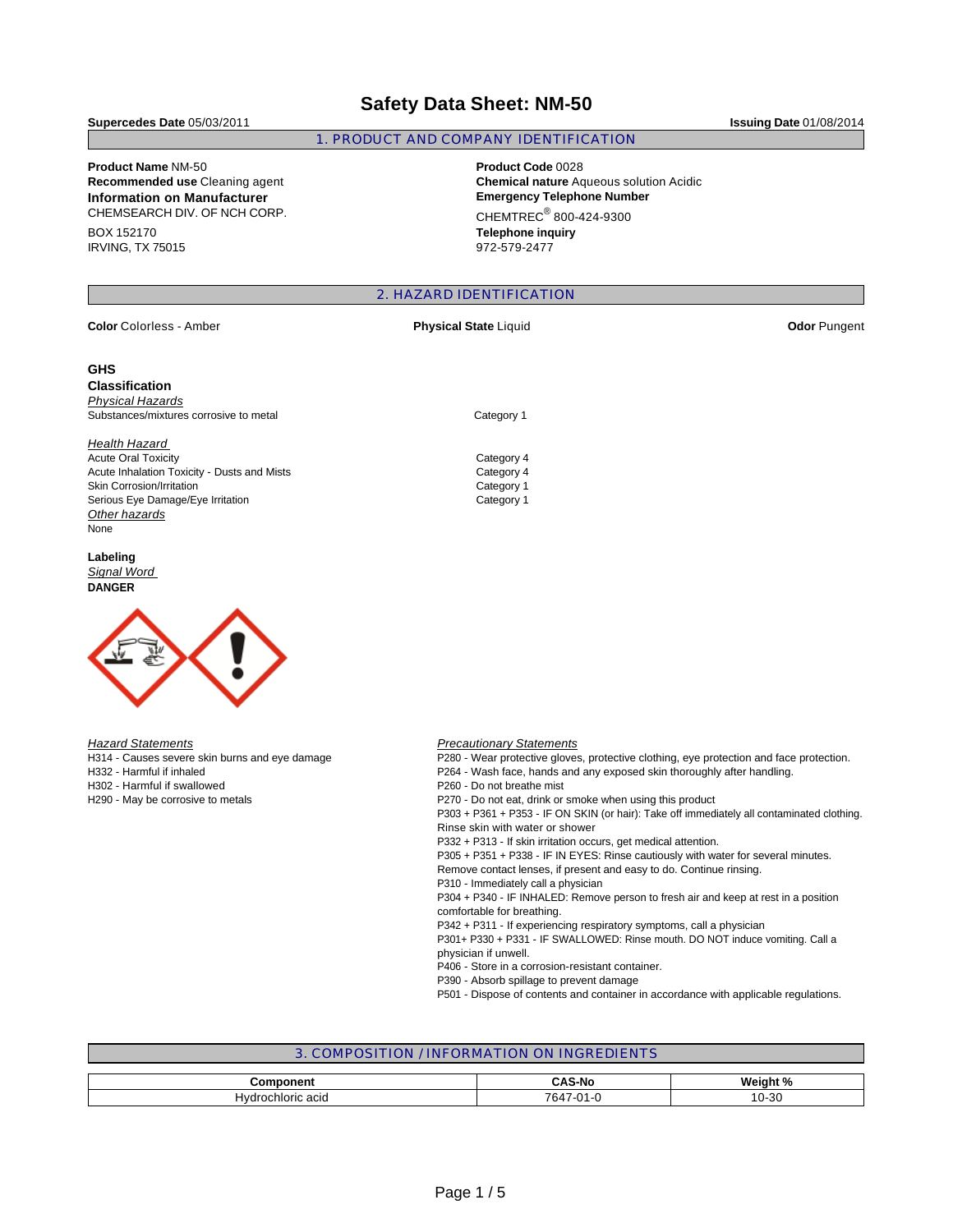# **Safety Data Sheet: NM-50**

**Supercedes Date** 05/03/2011 **Issuing Date** 01/08/2014

# **Product Name** NM-50 **Product Code** 0028 **Information on Manufacturer Emergency Telephone Number** CHEMSEARCH DIV. OF NCH CORP.

BOX 152170 IRVING, TX 75015

# 1. PRODUCT AND COMPANY IDENTIFICATION

**Chemical nature** Aqueous solution Acidic  $CHEMTREC<sup>®</sup> 800-424-9300$ **Telephone inquiry** 972-579-2477

### 2. HAZARD IDENTIFICATION

**Color** Colorless - Amber **Physical State** Liquid **Odor** Pungent

#### **GHS**

| Classification                       |
|--------------------------------------|
| <b>Physical Hazards</b>              |
| Substances/mixtures corrosive to met |

**Health Hazard** Acute Oral Toxicity **Category 4** Acute Inhalation Toxicity - Dusts and Mists **Category 4** Skin Corrosion/Irritation Category 1 Skin Corrosion/Irritation Serious Eye Damage/Eye Irritation Category 1 **Other hazards** None

**Labeling**  Signal Word





#### **Hazard Statements**

H314 - Causes severe skin burns and eye damage

- H332 Harmful if inhaled
- H302 Harmful if swallowed

H290 - May be corrosive to metals

#### **Precautionary Statements**

P280 - Wear protective gloves, protective clothing, eye protection and face protection. P264 - Wash face, hands and any exposed skin thoroughly after handling. P260 - Do not breathe mist P270 - Do not eat, drink or smoke when using this product P303 + P361 + P353 - IF ON SKIN (or hair): Take off immediately all contaminated clothing. Rinse skin with water or shower P332 + P313 - If skin irritation occurs, get medical attention. P305 + P351 + P338 - IF IN EYES: Rinse cautiously with water for several minutes. Remove contact lenses, if present and easy to do. Continue rinsing. P310 - Immediately call a physician in a position comfortable for breathing. P342 + P311 - If experiencing respiratory symptoms, call a physician iting. Call a physician if unwell. P406 - Store in a corrosion-resistant container. P390 - Absorb spillage to prevent damage

regulations.

| 3. COMPOSITION / INFORMATION ON INGREDIENTS |           |           |  |  |  |
|---------------------------------------------|-----------|-----------|--|--|--|
| <b>CAS-No</b><br>Weiaht %<br>Component      |           |           |  |  |  |
| Hydrochloric acid                           | 7647-01-0 | $10 - 30$ |  |  |  |

| P304 + P340 - IF INHALED: Remove person to fresh air and keep at rest i |
|-------------------------------------------------------------------------|
| comfortable for breathing.                                              |
| P342 + P311 - If experiencing respiratory symptoms, call a physician    |
| P301+ P330 + P331 - IF SWALLOWED: Rinse mouth, DO NOT induce vom        |
| physician if unwell.                                                    |
| P406 - Store in a corrosion-resistant container.                        |
| P390 - Absorb spillage to prevent damage                                |
| P501 - Dispose of contents and container in accordance with applicable  |
|                                                                         |
|                                                                         |
|                                                                         |
| ON LINFODMATION ON INCOFFITNITE                                         |

Substitute to make the corrosive to metal Category 1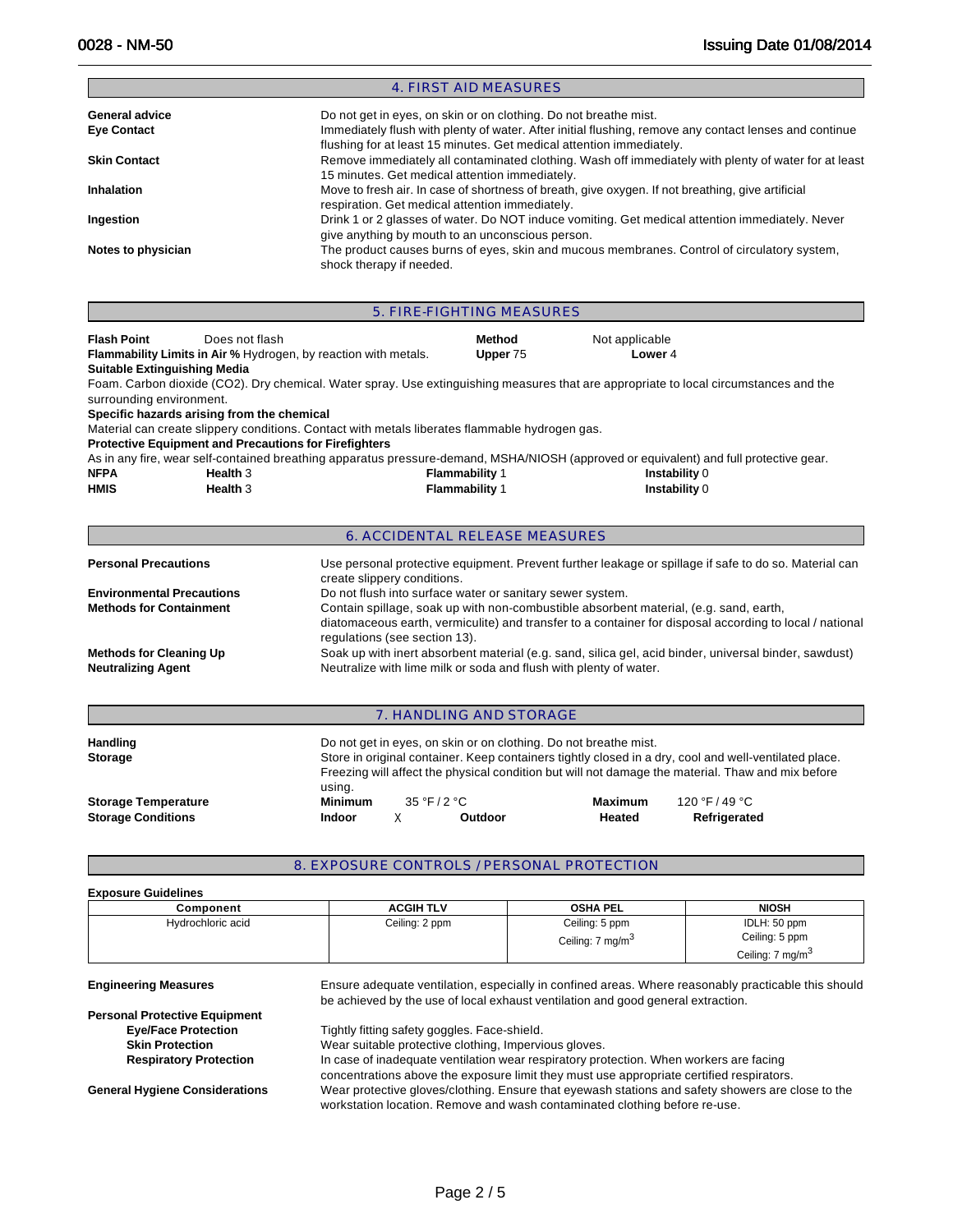$\overline{\phantom{a}}$ 

÷.

| 4. FIRST AID MEASURES |                                                                                                                                                                                |  |  |  |
|-----------------------|--------------------------------------------------------------------------------------------------------------------------------------------------------------------------------|--|--|--|
| General advice        | Do not get in eyes, on skin or on clothing. Do not breathe mist.                                                                                                               |  |  |  |
| <b>Eye Contact</b>    | Immediately flush with plenty of water. After initial flushing, remove any contact lenses and continue<br>flushing for at least 15 minutes. Get medical attention immediately. |  |  |  |
| <b>Skin Contact</b>   | Remove immediately all contaminated clothing. Wash off immediately with plenty of water for at least<br>15 minutes. Get medical attention immediately.                         |  |  |  |
| <b>Inhalation</b>     | Move to fresh air. In case of shortness of breath, give oxygen. If not breathing, give artificial<br>respiration. Get medical attention immediately.                           |  |  |  |
| Ingestion             | Drink 1 or 2 glasses of water. Do NOT induce vomiting. Get medical attention immediately. Never<br>give anything by mouth to an unconscious person.                            |  |  |  |
| Notes to physician    | The product causes burns of eyes, skin and mucous membranes. Control of circulatory system,<br>shock therapy if needed.                                                        |  |  |  |

| 5. FIRE-FIGHTING MEASURES                                   |                                                              |                                                                                                |                                                                                       |                           |                                                                                                                                                         |  |
|-------------------------------------------------------------|--------------------------------------------------------------|------------------------------------------------------------------------------------------------|---------------------------------------------------------------------------------------|---------------------------|---------------------------------------------------------------------------------------------------------------------------------------------------------|--|
| <b>Flash Point</b><br><b>Suitable Extinguishing Media</b>   | Does not flash                                               | Flammability Limits in Air % Hydrogen, by reaction with metals.                                | Method<br>Upper 75                                                                    | Not applicable<br>Lower 4 |                                                                                                                                                         |  |
| surrounding environment.                                    |                                                              |                                                                                                |                                                                                       |                           | Foam. Carbon dioxide (CO2). Dry chemical. Water spray. Use extinguishing measures that are appropriate to local circumstances and the                   |  |
|                                                             | Specific hazards arising from the chemical                   |                                                                                                |                                                                                       |                           |                                                                                                                                                         |  |
|                                                             | <b>Protective Equipment and Precautions for Firefighters</b> | Material can create slippery conditions. Contact with metals liberates flammable hydrogen gas. |                                                                                       |                           |                                                                                                                                                         |  |
| <b>NFPA</b>                                                 | Health <sub>3</sub>                                          |                                                                                                | <b>Flammability 1</b>                                                                 |                           | As in any fire, wear self-contained breathing apparatus pressure-demand, MSHA/NIOSH (approved or equivalent) and full protective gear.<br>Instability 0 |  |
| <b>HMIS</b>                                                 | Health <sub>3</sub>                                          |                                                                                                | <b>Flammability 1</b>                                                                 |                           | Instability 0                                                                                                                                           |  |
|                                                             |                                                              |                                                                                                | <b>6. ACCIDENTAL RELEASE MEASURES</b>                                                 |                           |                                                                                                                                                         |  |
| <b>Personal Precautions</b>                                 |                                                              | create slippery conditions.                                                                    |                                                                                       |                           | Use personal protective equipment. Prevent further leakage or spillage if safe to do so. Material can                                                   |  |
| <b>Environmental Precautions</b>                            |                                                              |                                                                                                | Do not flush into surface water or sanitary sewer system.                             |                           |                                                                                                                                                         |  |
| <b>Methods for Containment</b>                              |                                                              | regulations (see section 13).                                                                  | Contain spillage, soak up with non-combustible absorbent material, (e.g. sand, earth, |                           | diatomaceous earth, vermiculite) and transfer to a container for disposal according to local / national                                                 |  |
| <b>Methods for Cleaning Up</b><br><b>Neutralizing Agent</b> |                                                              |                                                                                                | Neutralize with lime milk or soda and flush with plenty of water.                     |                           | Soak up with inert absorbent material (e.g. sand, silica gel, acid binder, universal binder, sawdust)                                                   |  |
|                                                             |                                                              |                                                                                                |                                                                                       |                           |                                                                                                                                                         |  |
|                                                             |                                                              |                                                                                                | 7. HANDLING AND STORAGE                                                               |                           |                                                                                                                                                         |  |
| Handling                                                    |                                                              |                                                                                                | Do not get in eyes, on skin or on clothing. Do not breathe mist.                      |                           |                                                                                                                                                         |  |
| <b>Storage</b>                                              |                                                              |                                                                                                |                                                                                       |                           | Store in original container. Keep containers tightly closed in a dry, cool and well-ventilated place.                                                   |  |
|                                                             |                                                              | using.                                                                                         |                                                                                       |                           | Freezing will affect the physical condition but will not damage the material. Thaw and mix before                                                       |  |
| <b>Storage Temperature</b>                                  |                                                              | <b>Minimum</b>                                                                                 | 35 °F / 2 °C                                                                          | <b>Maximum</b>            | 120 °F / 49 °C                                                                                                                                          |  |
| <b>Storage Conditions</b>                                   |                                                              | X<br><b>Indoor</b>                                                                             | Outdoor                                                                               | Heated                    | Refrigerated                                                                                                                                            |  |

## 8. EXPOSURE CONTROLS / PERSONAL PROTECTION

| <b>Exposure Guidelines</b>            |                                                                                                                                                                                    |                              |                                                                                                     |  |  |
|---------------------------------------|------------------------------------------------------------------------------------------------------------------------------------------------------------------------------------|------------------------------|-----------------------------------------------------------------------------------------------------|--|--|
| Component                             | <b>ACGIH TLV</b>                                                                                                                                                                   | <b>OSHA PEL</b>              | <b>NIOSH</b>                                                                                        |  |  |
| Hydrochloric acid                     | Ceiling: 2 ppm                                                                                                                                                                     | Ceiling: 5 ppm               | IDLH: 50 ppm                                                                                        |  |  |
|                                       |                                                                                                                                                                                    | Ceiling: 7 mg/m <sup>3</sup> | Ceiling: 5 ppm                                                                                      |  |  |
|                                       |                                                                                                                                                                                    |                              | Ceiling: 7 mg/m <sup>3</sup>                                                                        |  |  |
| <b>Engineering Measures</b>           | be achieved by the use of local exhaust ventilation and good general extraction.                                                                                                   |                              | Ensure adequate ventilation, especially in confined areas. Where reasonably practicable this should |  |  |
| <b>Personal Protective Equipment</b>  |                                                                                                                                                                                    |                              |                                                                                                     |  |  |
| <b>Eye/Face Protection</b>            | Tightly fitting safety goggles. Face-shield.                                                                                                                                       |                              |                                                                                                     |  |  |
| <b>Skin Protection</b>                | Wear suitable protective clothing, Impervious gloves.                                                                                                                              |                              |                                                                                                     |  |  |
| <b>Respiratory Protection</b>         | In case of inadequate ventilation wear respiratory protection. When workers are facing<br>concentrations above the exposure limit they must use appropriate certified respirators. |                              |                                                                                                     |  |  |
| <b>General Hygiene Considerations</b> | Wear protective gloves/clothing. Ensure that eyewash stations and safety showers are close to the<br>workstation location. Remove and wash contaminated clothing before re-use.    |                              |                                                                                                     |  |  |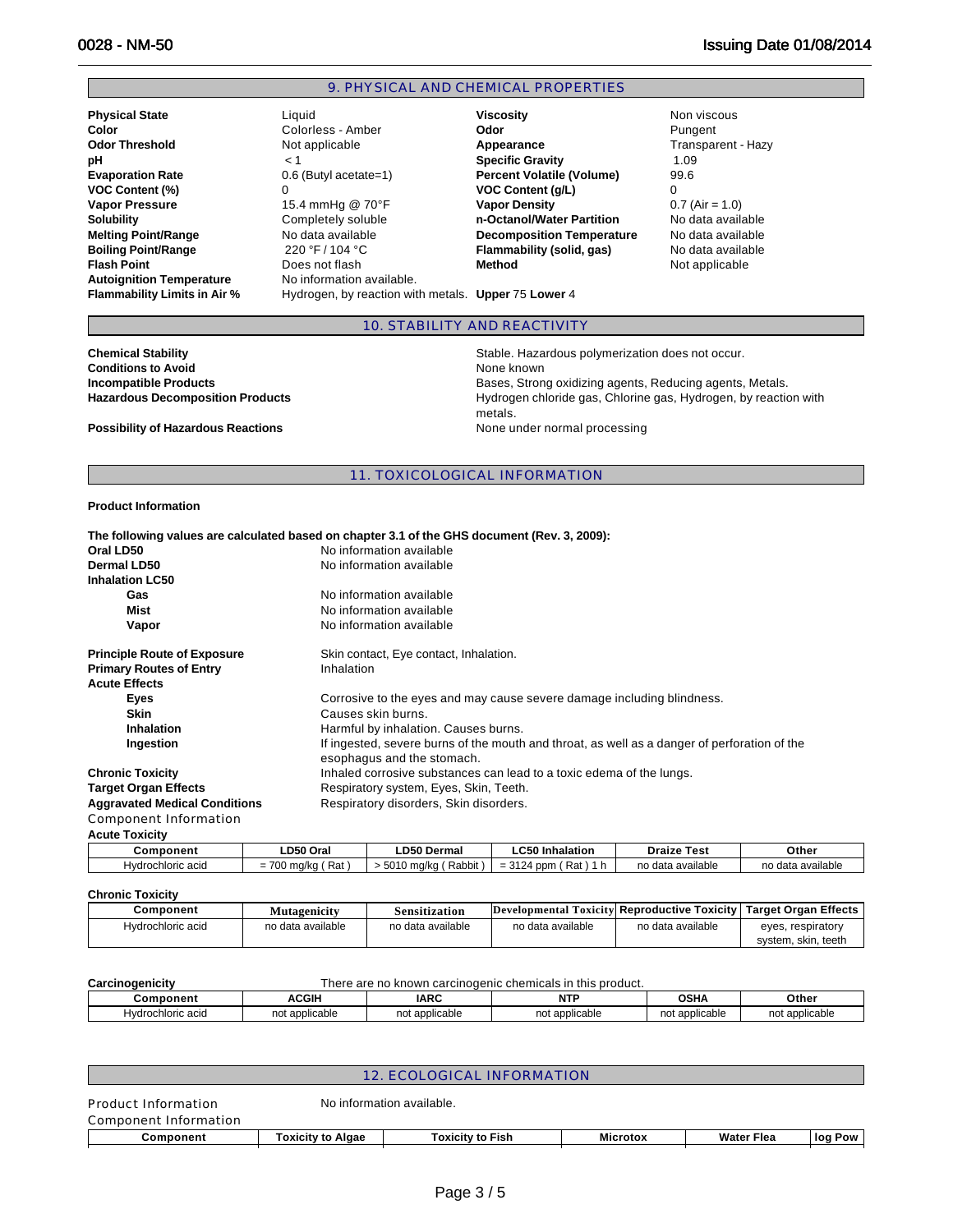### 9. PHYSICAL AND CHEMICAL PROPERTIES

| <b>Physical State</b>           | Liauid                                              | <b>Viscosity</b>                 | Non viscous        |
|---------------------------------|-----------------------------------------------------|----------------------------------|--------------------|
| Color                           | Colorless - Amber                                   | Odor                             | Pungent            |
| <b>Odor Threshold</b>           | Not applicable                                      | Appearance                       | Transparent - Hazy |
| рH                              | < 1                                                 | <b>Specific Gravity</b>          | 1.09               |
| <b>Evaporation Rate</b>         | $0.6$ (Butyl acetate=1)                             | <b>Percent Volatile (Volume)</b> | 99.6               |
| VOC Content (%)                 | 0                                                   | <b>VOC Content (g/L)</b>         | 0                  |
| <b>Vapor Pressure</b>           | 15.4 mmHg @ 70°F                                    | <b>Vapor Density</b>             | $0.7$ (Air = 1.0)  |
| Solubility                      | Completely soluble                                  | n-Octanol/Water Partition        | No data available  |
| <b>Melting Point/Range</b>      | No data available                                   | <b>Decomposition Temperature</b> | No data available  |
| <b>Boiling Point/Range</b>      | 220 °F / 104 °C                                     | Flammability (solid, gas)        | No data available  |
| <b>Flash Point</b>              | Does not flash                                      | Method                           | Not applicable     |
| <b>Autoignition Temperature</b> | No information available.                           |                                  |                    |
| Flammability Limits in Air %    | Hydrogen, by reaction with metals. Upper 75 Lower 4 |                                  |                    |

### 10. STABILITY AND REACTIVITY

| <b>Chemical Stability</b>                 | Stable. Hazardous polymerization does not occur.                |
|-------------------------------------------|-----------------------------------------------------------------|
| <b>Conditions to Avoid</b>                | None known                                                      |
| <b>Incompatible Products</b>              | Bases, Strong oxidizing agents, Reducing agents, Metals.        |
| <b>Hazardous Decomposition Products</b>   | Hydrogen chloride gas, Chlorine gas, Hydrogen, by reaction with |
| <b>Possibility of Hazardous Reactions</b> | metals.<br>None under normal processing                         |

#### 11. TOXICOLOGICAL INFORMATION

#### **Product Information**

|                                      | The following values are calculated based on chapter 3.1 of the GHS document (Rev. 3, 2009):                               |
|--------------------------------------|----------------------------------------------------------------------------------------------------------------------------|
| Oral LD50                            | No information available                                                                                                   |
| <b>Dermal LD50</b>                   | No information available                                                                                                   |
| <b>Inhalation LC50</b>               |                                                                                                                            |
| Gas                                  | No information available                                                                                                   |
| Mist                                 | No information available                                                                                                   |
| Vapor                                | No information available                                                                                                   |
| <b>Principle Route of Exposure</b>   | Skin contact, Eye contact, Inhalation.                                                                                     |
| <b>Primary Routes of Entry</b>       | Inhalation                                                                                                                 |
| <b>Acute Effects</b>                 |                                                                                                                            |
| Eyes                                 | Corrosive to the eyes and may cause severe damage including blindness.                                                     |
| <b>Skin</b>                          | Causes skin burns.                                                                                                         |
| <b>Inhalation</b>                    | Harmful by inhalation. Causes burns.                                                                                       |
| Ingestion                            | If ingested, severe burns of the mouth and throat, as well as a danger of perforation of the<br>esophagus and the stomach. |
| <b>Chronic Toxicity</b>              | Inhaled corrosive substances can lead to a toxic edema of the lungs.                                                       |
| <b>Target Organ Effects</b>          | Respiratory system, Eyes, Skin, Teeth.                                                                                     |
| <b>Aggravated Medical Conditions</b> | Respiratory disorders, Skin disorders.                                                                                     |
| Component Information                |                                                                                                                            |

#### **Acute Toxicity**

| Component         | ∟D50 Oral               | LD50 Dermal                   | <b>LC50 Inhalation</b>           | <b>Draize</b><br>Test | Other             |
|-------------------|-------------------------|-------------------------------|----------------------------------|-----------------------|-------------------|
| Hvdrochloric acid | Rat<br>700<br>700 ma/ka | Rabbit<br>FOMO<br>.5010 ma/ka | $\sim$<br>Rat<br>ppm<br>$= 3124$ | no data available     | no data available |
|                   |                         |                               |                                  |                       |                   |

#### **Chronic Toxicity**

| Component         | Mutagenicitv      | Sensitization     | Developmental Toxicity Reproductive Toxicity   Target Organ Effects |                   |                     |
|-------------------|-------------------|-------------------|---------------------------------------------------------------------|-------------------|---------------------|
| Hvdrochloric acid | no data available | no data available | no data available                                                   | no data available | eves, respiratory   |
|                   |                   |                   |                                                                     |                   | system, skin, teeth |

#### **Carcinogenicity Carcinogenicity There are no known carcinogenic chemicals in this product.**

| Component         | <b>ACGIH</b>      | <b>IARC</b>       | NT <sub>1</sub>                  | <b>OSHA</b>  | Other                        |
|-------------------|-------------------|-------------------|----------------------------------|--------------|------------------------------|
| Hydrochloric acid | not<br>applicable | not<br>applicable | `applicable<br>$\sim$ $\sim$<br> | : applicable | not applicable<br>applicable |

| 12. ECOLOGICAL INFORMATION                   |                           |                         |                 |                   |         |
|----------------------------------------------|---------------------------|-------------------------|-----------------|-------------------|---------|
| Product Information<br>Component Information | No information available. |                         |                 |                   |         |
| Component                                    | <b>Toxicity to Algae</b>  | <b>Toxicity to Fish</b> | <b>Microtox</b> | <b>Water Flea</b> | log Pow |
|                                              |                           |                         |                 |                   |         |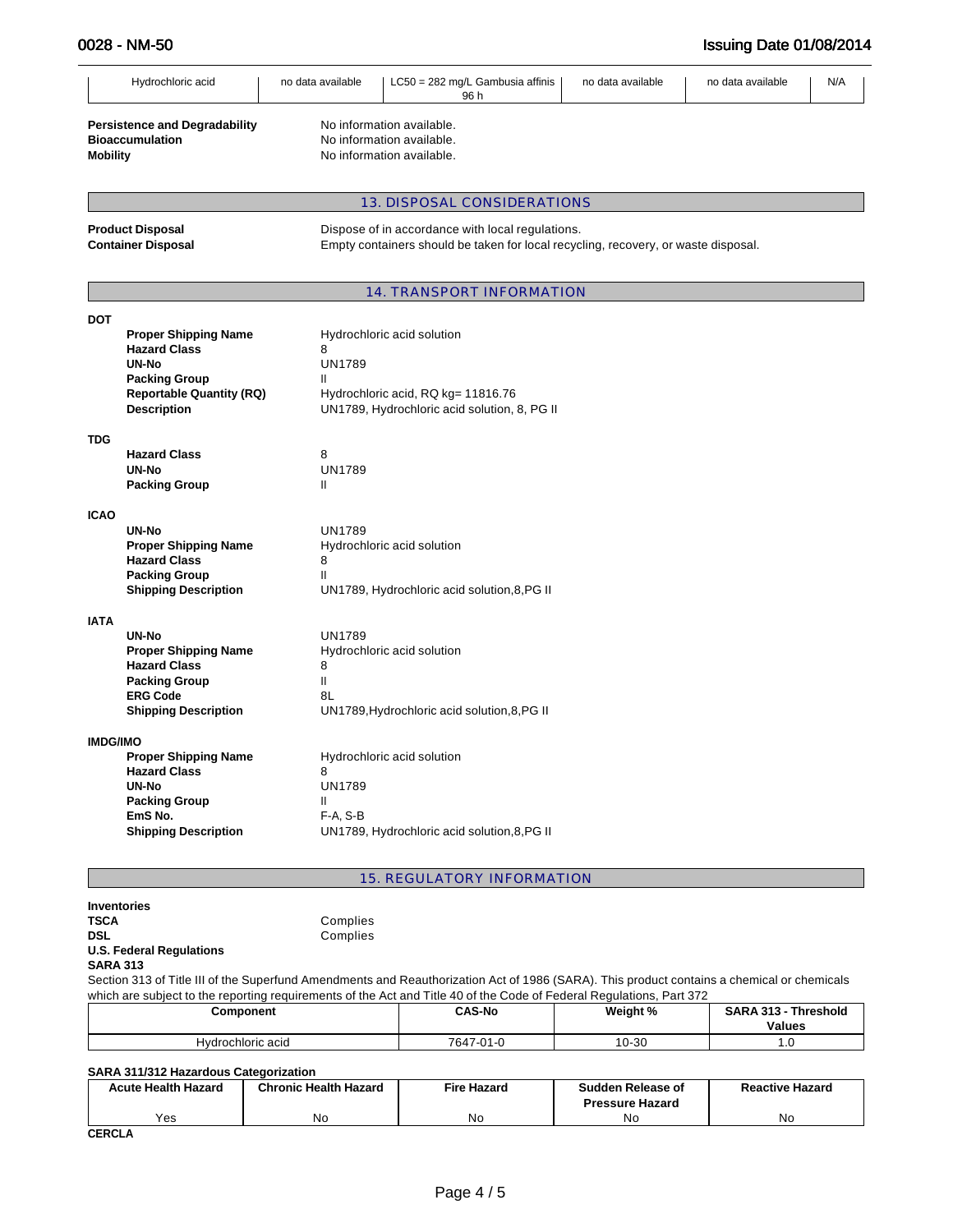# 0028 - NM-50 **Issuing Date 01/08/2014**

|                                                                                   | Hydrochloric acid                                                                                                                                                                              | no data available                                                                   | LC50 = 282 mg/L Gambusia affinis<br>96 h                                                                         | no data available | no data available | N/A |  |
|-----------------------------------------------------------------------------------|------------------------------------------------------------------------------------------------------------------------------------------------------------------------------------------------|-------------------------------------------------------------------------------------|------------------------------------------------------------------------------------------------------------------|-------------------|-------------------|-----|--|
| <b>Persistence and Degradability</b><br><b>Bioaccumulation</b><br><b>Mobility</b> |                                                                                                                                                                                                | No information available.<br>No information available.<br>No information available. |                                                                                                                  |                   |                   |     |  |
|                                                                                   |                                                                                                                                                                                                |                                                                                     | 13. DISPOSAL CONSIDERATIONS                                                                                      |                   |                   |     |  |
|                                                                                   | <b>Product Disposal</b><br>Dispose of in accordance with local regulations.<br><b>Container Disposal</b><br>Empty containers should be taken for local recycling, recovery, or waste disposal. |                                                                                     |                                                                                                                  |                   |                   |     |  |
|                                                                                   |                                                                                                                                                                                                |                                                                                     | <b>14. TRANSPORT INFORMATION</b>                                                                                 |                   |                   |     |  |
| <b>DOT</b>                                                                        | <b>Proper Shipping Name</b><br><b>Hazard Class</b><br>UN-No<br><b>Packing Group</b><br><b>Reportable Quantity (RQ)</b><br><b>Description</b>                                                   | 8<br><b>UN1789</b><br>Ш                                                             | Hydrochloric acid solution<br>Hydrochloric acid, RQ kg= 11816.76<br>UN1789, Hydrochloric acid solution, 8, PG II |                   |                   |     |  |
| <b>TDG</b>                                                                        | <b>Hazard Class</b><br>UN-No<br><b>Packing Group</b>                                                                                                                                           | 8<br><b>UN1789</b><br>Ш                                                             |                                                                                                                  |                   |                   |     |  |
| <b>ICAO</b>                                                                       | UN-No<br><b>Proper Shipping Name</b><br><b>Hazard Class</b><br><b>Packing Group</b><br><b>Shipping Description</b>                                                                             | <b>UN1789</b><br>8<br>Ш                                                             | Hydrochloric acid solution<br>UN1789, Hydrochloric acid solution, 8, PG II                                       |                   |                   |     |  |
| <b>IATA</b>                                                                       | <b>UN-No</b><br><b>Proper Shipping Name</b><br><b>Hazard Class</b><br><b>Packing Group</b><br><b>ERG Code</b><br><b>Shipping Description</b>                                                   | <b>UN1789</b><br>8<br>Ш<br>8L                                                       | Hydrochloric acid solution<br>UN1789, Hydrochloric acid solution, 8, PG II                                       |                   |                   |     |  |
| <b>IMDG/IMO</b>                                                                   | <b>Proper Shipping Name</b><br><b>Hazard Class</b><br>UN-No<br><b>Packing Group</b><br>EmS No.<br><b>Shipping Description</b>                                                                  | 8<br><b>UN1789</b><br>Ш<br>$F-A, S-B$                                               | Hydrochloric acid solution<br>UN1789, Hydrochloric acid solution, 8, PG II                                       |                   |                   |     |  |

#### 15. REGULATORY INFORMATION

| Inventories                     |          |
|---------------------------------|----------|
| TSCA                            | Complies |
| DSL                             | Complies |
| <b>U.S. Federal Regulations</b> |          |

#### **SARA 313** Section 313 of Title III of the Superfund Amendments and Reauthorization Act of 1986 (SARA). This product contains a chemical or chemicals which are subject to the reporting requirements of the Act and Title 40 of the Code of Federal Regulations, Part 372

| Component         | <b>CAS-No</b> | Weight % | Threshold<br><b>SARA</b><br>. 313<br><b>Values</b> |
|-------------------|---------------|----------|----------------------------------------------------|
| Hydrochloric acid | 7647-01-0     | 10-30    | ı.u                                                |

### **SARA 311/312 Hazardous Categorization**

| <b>Acute Health Hazard</b> | <b>Chronic Health Hazard</b> | <b>Fire Hazard</b> | Sudden Release of<br><b>Pressure Hazard</b> | <b>Reactive Hazard</b> |
|----------------------------|------------------------------|--------------------|---------------------------------------------|------------------------|
| Yes                        | No                           | No                 | No                                          | No                     |

**CERCLA**